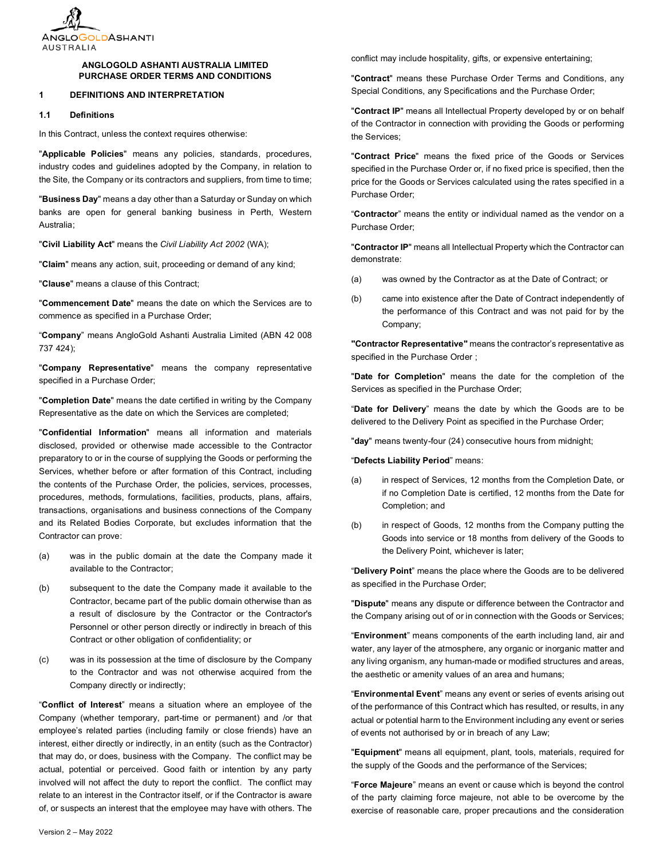

# **ANGLOGOLD ASHANTI AUSTRALIA LIMITED PURCHASE ORDER TERMS AND CONDITIONS**

### <span id="page-0-0"></span>**1 DEFINITIONS AND INTERPRETATION**

**1.1 Definitions**

In this Contract, unless the context requires otherwise:

"**Applicable Policies**" means any policies, standards, procedures, industry codes and guidelines adopted by the Company, in relation to the Site, the Company or its contractors and suppliers, from time to time;

"**Business Day**" means a day other than a Saturday or Sunday on which banks are open for general banking business in Perth, Western Australia;

"**Civil Liability Act**" means the *Civil Liability Act 2002* (WA);

"**Claim**" means any action, suit, proceeding or demand of any kind;

"**Clause**" means a clause of this Contract;

"**Commencement Date**" means the date on which the Services are to commence as specified in a Purchase Order;

"**Company**" means AngloGold Ashanti Australia Limited (ABN 42 008 737 424);

"**Company Representative**" means the company representative specified in a Purchase Order;

"**Completion Date**" means the date certified in writing by the Company Representative as the date on which the Services are completed;

"**Confidential Information**" means all information and materials disclosed, provided or otherwise made accessible to the Contractor preparatory to or in the course of supplying the Goods or performing the Services, whether before or after formation of this Contract, including the contents of the Purchase Order, the policies, services, processes, procedures, methods, formulations, facilities, products, plans, affairs, transactions, organisations and business connections of the Company and its Related Bodies Corporate, but excludes information that the Contractor can prove:

- (a) was in the public domain at the date the Company made it available to the Contractor;
- (b) subsequent to the date the Company made it available to the Contractor, became part of the public domain otherwise than as a result of disclosure by the Contractor or the Contractor's Personnel or other person directly or indirectly in breach of this Contract or other obligation of confidentiality; or
- (c) was in its possession at the time of disclosure by the Company to the Contractor and was not otherwise acquired from the Company directly or indirectly;

"**Conflict of Interest**" means a situation where an employee of the Company (whether temporary, part-time or permanent) and /or that employee's related parties (including family or close friends) have an interest, either directly or indirectly, in an entity (such as the Contractor) that may do, or does, business with the Company. The conflict may be actual, potential or perceived. Good faith or intention by any party involved will not affect the duty to report the conflict. The conflict may relate to an interest in the Contractor itself, or if the Contractor is aware of, or suspects an interest that the employee may have with others. The conflict may include hospitality, gifts, or expensive entertaining;

"**Contract**" means these Purchase Order Terms and Conditions, any Special Conditions, any Specifications and the Purchase Order;

"**Contract IP**" means all Intellectual Property developed by or on behalf of the Contractor in connection with providing the Goods or performing the Services;

"**Contract Price**" means the fixed price of the Goods or Services specified in the Purchase Order or, if no fixed price is specified, then the price for the Goods or Services calculated using the rates specified in a Purchase Order;

"**Contractor**" means the entity or individual named as the vendor on a Purchase Order;

"**Contractor IP**" means all Intellectual Property which the Contractor can demonstrate:

- (a) was owned by the Contractor as at the Date of Contract; or
- (b) came into existence after the Date of Contract independently of the performance of this Contract and was not paid for by the Company;

**"Contractor Representative"** means the contractor's representative as specified in the Purchase Order ;

"**Date for Completion**" means the date for the completion of the Services as specified in the Purchase Order;

"**Date for Delivery**" means the date by which the Goods are to be delivered to the Delivery Point as specified in the Purchase Order;

"**day**" means twenty-four (24) consecutive hours from midnight;

"**Defects Liability Period**" means:

- (a) in respect of Services, 12 months from the Completion Date, or if no Completion Date is certified, 12 months from the Date for Completion; and
- (b) in respect of Goods, 12 months from the Company putting the Goods into service or 18 months from delivery of the Goods to the Delivery Point, whichever is later;

"**Delivery Point**" means the place where the Goods are to be delivered as specified in the Purchase Order;

"**Dispute**" means any dispute or difference between the Contractor and the Company arising out of or in connection with the Goods or Services;

"**Environment**" means components of the earth including land, air and water, any layer of the atmosphere, any organic or inorganic matter and any living organism, any human-made or modified structures and areas, the aesthetic or amenity values of an area and humans;

"**Environmental Event**" means any event or series of events arising out of the performance of this Contract which has resulted, or results, in any actual or potential harm to the Environment including any event or series of events not authorised by or in breach of any Law;

"**Equipment**" means all equipment, plant, tools, materials, required for the supply of the Goods and the performance of the Services;

"**Force Majeure**" means an event or cause which is beyond the control of the party claiming force majeure, not able to be overcome by the exercise of reasonable care, proper precautions and the consideration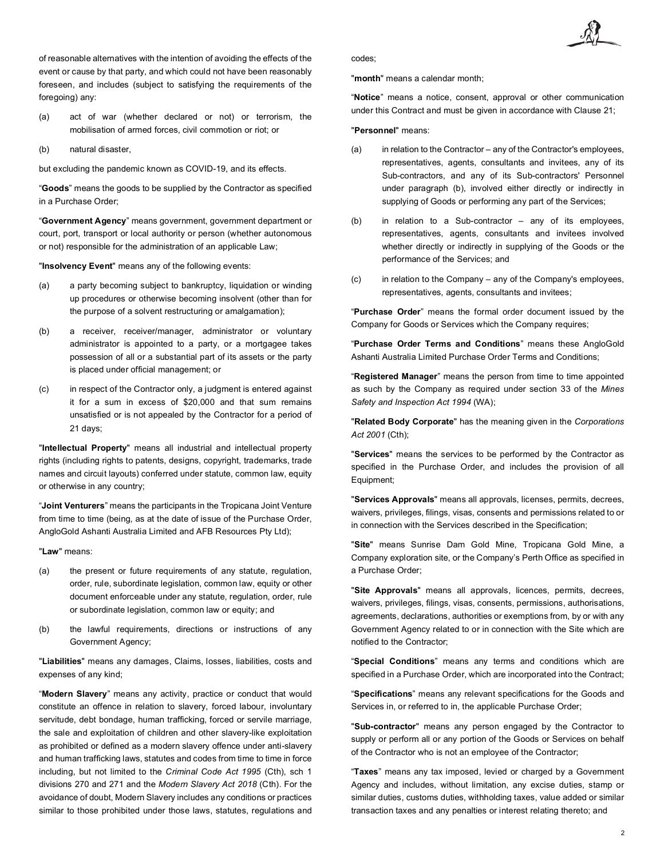of reasonable alternatives with the intention of avoiding the effects of the event or cause by that party, and which could not have been reasonably foreseen, and includes (subject to satisfying the requirements of the foregoing) any:

- (a) act of war (whether declared or not) or terrorism, the mobilisation of armed forces, civil commotion or riot; or
- (b) natural disaster,

but excluding the pandemic known as COVID-19, and its effects.

"**Goods**" means the goods to be supplied by the Contractor as specified in a Purchase Order;

"**Government Agency**" means government, government department or court, port, transport or local authority or person (whether autonomous or not) responsible for the administration of an applicable Law;

"**Insolvency Event**" means any of the following events:

- (a) a party becoming subject to bankruptcy, liquidation or winding up procedures or otherwise becoming insolvent (other than for the purpose of a solvent restructuring or amalgamation);
- (b) a receiver, receiver/manager, administrator or voluntary administrator is appointed to a party, or a mortgagee takes possession of all or a substantial part of its assets or the party is placed under official management; or
- (c) in respect of the Contractor only, a judgment is entered against it for a sum in excess of \$20,000 and that sum remains unsatisfied or is not appealed by the Contractor for a period of 21 days;

"**Intellectual Property**" means all industrial and intellectual property rights (including rights to patents, designs, copyright, trademarks, trade names and circuit layouts) conferred under statute, common law, equity or otherwise in any country;

"**Joint Venturers**" means the participants in the Tropicana Joint Venture from time to time (being, as at the date of issue of the Purchase Order, AngloGold Ashanti Australia Limited and AFB Resources Pty Ltd);

"**Law**" means:

- (a) the present or future requirements of any statute, regulation, order, rule, subordinate legislation, common law, equity or other document enforceable under any statute, regulation, order, rule or subordinate legislation, common law or equity; and
- (b) the lawful requirements, directions or instructions of any Government Agency;

"**Liabilities**" means any damages, Claims, losses, liabilities, costs and expenses of any kind;

"**Modern Slavery**" means any activity, practice or conduct that would constitute an offence in relation to slavery, forced labour, involuntary servitude, debt bondage, human trafficking, forced or servile marriage, the sale and exploitation of children and other slavery-like exploitation as prohibited or defined as a modern slavery offence under anti-slavery and human trafficking laws, statutes and codes from time to time in force including, but not limited to the *Criminal Code Act 1995* (Cth), sch 1 divisions 270 and 271 and the *Modern Slavery Act 2018* (Cth). For the avoidance of doubt, Modern Slavery includes any conditions or practices similar to those prohibited under those laws, statutes, regulations and codes;

"**month**" means a calendar month;

"**Notice**" means a notice, consent, approval or other communication under this Contract and must be given in accordance with Clause [21;](#page-8-0)

"**Personnel**" means:

- (a) in relation to the Contractor any of the Contractor's employees, representatives, agents, consultants and invitees, any of its Sub-contractors, and any of its Sub-contractors' Personnel under paragraph (b), involved either directly or indirectly in supplying of Goods or performing any part of the Services;
- (b) in relation to a Sub-contractor any of its employees, representatives, agents, consultants and invitees involved whether directly or indirectly in supplying of the Goods or the performance of the Services; and
- (c) in relation to the Company any of the Company's employees, representatives, agents, consultants and invitees;

"**Purchase Order**" means the formal order document issued by the Company for Goods or Services which the Company requires;

"**Purchase Order Terms and Conditions**" means these AngloGold Ashanti Australia Limited Purchase Order Terms and Conditions;

"**Registered Manager**" means the person from time to time appointed as such by the Company as required under section 33 of the *Mines Safety and Inspection Act 1994* (WA);

"**Related Body Corporate**" has the meaning given in the *Corporations Act 2001* (Cth);

"**Services**" means the services to be performed by the Contractor as specified in the Purchase Order, and includes the provision of all Equipment;

"**Services Approvals**" means all approvals, licenses, permits, decrees, waivers, privileges, filings, visas, consents and permissions related to or in connection with the Services described in the Specification;

"**Site**" means Sunrise Dam Gold Mine, Tropicana Gold Mine, a Company exploration site, or the Company's Perth Office as specified in a Purchase Order;

"**Site Approvals**" means all approvals, licences, permits, decrees, waivers, privileges, filings, visas, consents, permissions, authorisations, agreements, declarations, authorities or exemptions from, by or with any Government Agency related to or in connection with the Site which are notified to the Contractor;

"**Special Conditions**" means any terms and conditions which are specified in a Purchase Order, which are incorporated into the Contract;

"**Specifications**" means any relevant specifications for the Goods and Services in, or referred to in, the applicable Purchase Order;

"**Sub-contractor**" means any person engaged by the Contractor to supply or perform all or any portion of the Goods or Services on behalf of the Contractor who is not an employee of the Contractor;

"**Taxes**" means any tax imposed, levied or charged by a Government Agency and includes, without limitation, any excise duties, stamp or similar duties, customs duties, withholding taxes, value added or similar transaction taxes and any penalties or interest relating thereto; and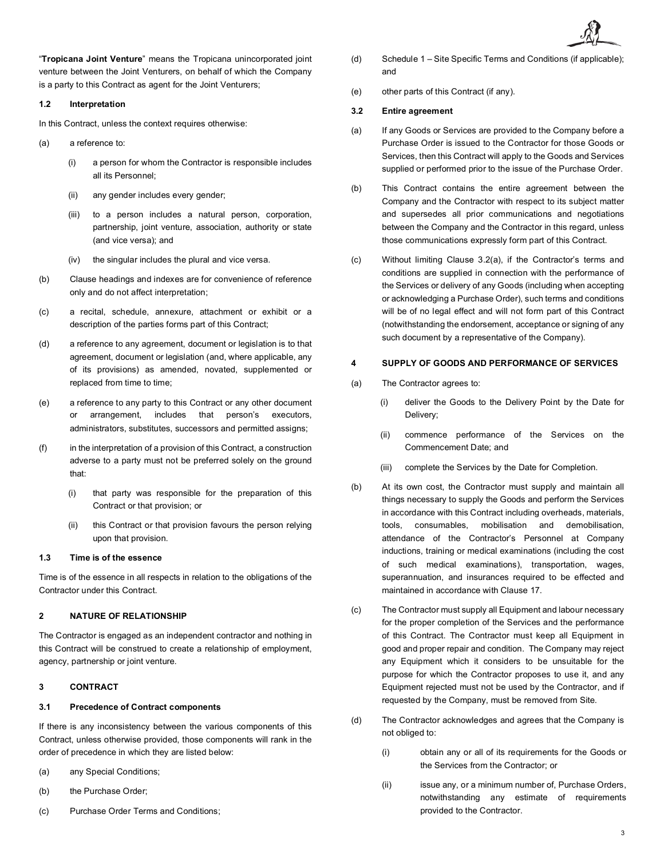"**Tropicana Joint Venture**" means the Tropicana unincorporated joint venture between the Joint Venturers, on behalf of which the Company is a party to this Contract as agent for the Joint Venturers;

# **1.2 Interpretation**

In this Contract, unless the context requires otherwise:

- (a) a reference to:
	- (i) a person for whom the Contractor is responsible includes all its Personnel;
	- (ii) any gender includes every gender;
	- (iii) to a person includes a natural person, corporation, partnership, joint venture, association, authority or state (and vice versa); and
	- (iv) the singular includes the plural and vice versa.
- (b) Clause headings and indexes are for convenience of reference only and do not affect interpretation;
- (c) a recital, schedule, annexure, attachment or exhibit or a description of the parties forms part of this Contract;
- (d) a reference to any agreement, document or legislation is to that agreement, document or legislation (and, where applicable, any of its provisions) as amended, novated, supplemented or replaced from time to time;
- (e) a reference to any party to this Contract or any other document or arrangement, includes that person's executors, administrators, substitutes, successors and permitted assigns;
- (f) in the interpretation of a provision of this Contract, a construction adverse to a party must not be preferred solely on the ground that:
	- (i) that party was responsible for the preparation of this Contract or that provision; or
	- (ii) this Contract or that provision favours the person relying upon that provision.

#### **1.3 Time is of the essence**

Time is of the essence in all respects in relation to the obligations of the Contractor under this Contract.

### **2 NATURE OF RELATIONSHIP**

The Contractor is engaged as an independent contractor and nothing in this Contract will be construed to create a relationship of employment, agency, partnership or joint venture.

# **3 CONTRACT**

### **3.1 Precedence of Contract components**

If there is any inconsistency between the various components of this Contract, unless otherwise provided, those components will rank in the order of precedence in which they are listed below:

- (a) any Special Conditions;
- (b) the Purchase Order;
- (c) Purchase Order Terms and Conditions;
- (d) Schedule 1 Site Specific Terms and Conditions (if applicable); and
- (e) other parts of this Contract (if any).

#### **3.2 Entire agreement**

- <span id="page-2-0"></span>(a) If any Goods or Services are provided to the Company before a Purchase Order is issued to the Contractor for those Goods or Services, then this Contract will apply to the Goods and Services supplied or performed prior to the issue of the Purchase Order.
- (b) This Contract contains the entire agreement between the Company and the Contractor with respect to its subject matter and supersedes all prior communications and negotiations between the Company and the Contractor in this regard, unless those communications expressly form part of this Contract.
- (c) Without limiting Clause [3.2\(a\),](#page-2-0) if the Contractor's terms and conditions are supplied in connection with the performance of the Services or delivery of any Goods (including when accepting or acknowledging a Purchase Order), such terms and conditions will be of no legal effect and will not form part of this Contract (notwithstanding the endorsement, acceptance or signing of any such document by a representative of the Company).

# **4 SUPPLY OF GOODS AND PERFORMANCE OF SERVICES**

- (a) The Contractor agrees to:
	- (i) deliver the Goods to the Delivery Point by the Date for Delivery;
	- (ii) commence performance of the Services on the Commencement Date; and
	- (iii) complete the Services by the Date for Completion.
- (b) At its own cost, the Contractor must supply and maintain all things necessary to supply the Goods and perform the Services in accordance with this Contract including overheads, materials, tools, consumables, mobilisation and demobilisation, attendance of the Contractor's Personnel at Company inductions, training or medical examinations (including the cost of such medical examinations), transportation, wages, superannuation, and insurances required to be effected and maintained in accordance with Clause [17.](#page-6-0)
- (c) The Contractor must supply all Equipment and labour necessary for the proper completion of the Services and the performance of this Contract. The Contractor must keep all Equipment in good and proper repair and condition. The Company may reject any Equipment which it considers to be unsuitable for the purpose for which the Contractor proposes to use it, and any Equipment rejected must not be used by the Contractor, and if requested by the Company, must be removed from Site.
- (d) The Contractor acknowledges and agrees that the Company is not obliged to:
	- (i) obtain any or all of its requirements for the Goods or the Services from the Contractor; or
	- (ii) issue any, or a minimum number of, Purchase Orders, notwithstanding any estimate of requirements provided to the Contractor.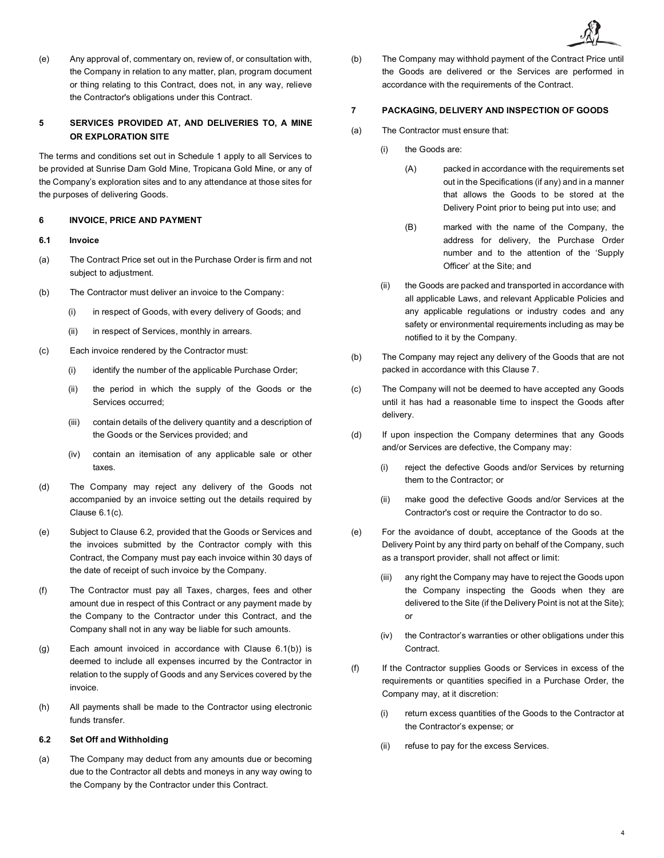(e) Any approval of, commentary on, review of, or consultation with, the Company in relation to any matter, plan, program document or thing relating to this Contract, does not, in any way, relieve the Contractor's obligations under this Contract.

# **5 SERVICES PROVIDED AT, AND DELIVERIES TO, A MINE OR EXPLORATION SITE**

The terms and conditions set out in Schedule 1 apply to all Services to be provided at Sunrise Dam Gold Mine, Tropicana Gold Mine, or any of the Company's exploration sites and to any attendance at those sites for the purposes of delivering Goods.

## **6 INVOICE, PRICE AND PAYMENT**

# **6.1 Invoice**

- (a) The Contract Price set out in the Purchase Order is firm and not subject to adjustment.
- <span id="page-3-2"></span>(b) The Contractor must deliver an invoice to the Company:
	- (i) in respect of Goods, with every delivery of Goods; and
	- (ii) in respect of Services, monthly in arrears.
- <span id="page-3-0"></span>(c) Each invoice rendered by the Contractor must:
	- (i) identify the number of the applicable Purchase Order;
	- (ii) the period in which the supply of the Goods or the Services occurred;
	- (iii) contain details of the delivery quantity and a description of the Goods or the Services provided; and
	- (iv) contain an itemisation of any applicable sale or other taxes.
- (d) The Company may reject any delivery of the Goods not accompanied by an invoice setting out the details required by Clause [6.1\(c\).](#page-3-0)
- (e) Subject to Clause [6.2,](#page-3-1) provided that the Goods or Services and the invoices submitted by the Contractor comply with this Contract, the Company must pay each invoice within 30 days of the date of receipt of such invoice by the Company.
- (f) The Contractor must pay all Taxes, charges, fees and other amount due in respect of this Contract or any payment made by the Company to the Contractor under this Contract, and the Company shall not in any way be liable for such amounts.
- (g) Each amount invoiced in accordance with Clause [6.1\(b\)\)](#page-3-2) is deemed to include all expenses incurred by the Contractor in relation to the supply of Goods and any Services covered by the invoice.
- (h) All payments shall be made to the Contractor using electronic funds transfer.

# <span id="page-3-1"></span>**6.2 Set Off and Withholding**

(a) The Company may deduct from any amounts due or becoming due to the Contractor all debts and moneys in any way owing to the Company by the Contractor under this Contract.

(b) The Company may withhold payment of the Contract Price until the Goods are delivered or the Services are performed in accordance with the requirements of the Contract.

### <span id="page-3-3"></span>**7 PACKAGING, DELIVERY AND INSPECTION OF GOODS**

- (a) The Contractor must ensure that:
	- (i) the Goods are:
		- (A) packed in accordance with the requirements set out in the Specifications (if any) and in a manner that allows the Goods to be stored at the Delivery Point prior to being put into use; and
		- (B) marked with the name of the Company, the address for delivery, the Purchase Order number and to the attention of the 'Supply Officer' at the Site; and
	- (ii) the Goods are packed and transported in accordance with all applicable Laws, and relevant Applicable Policies and any applicable regulations or industry codes and any safety or environmental requirements including as may be notified to it by the Company.
- (b) The Company may reject any delivery of the Goods that are not packed in accordance with this Claus[e 7.](#page-3-3)
- (c) The Company will not be deemed to have accepted any Goods until it has had a reasonable time to inspect the Goods after delivery.
- (d) If upon inspection the Company determines that any Goods and/or Services are defective, the Company may:
	- (i) reject the defective Goods and/or Services by returning them to the Contractor; or
	- (ii) make good the defective Goods and/or Services at the Contractor's cost or require the Contractor to do so.
- (e) For the avoidance of doubt, acceptance of the Goods at the Delivery Point by any third party on behalf of the Company, such as a transport provider, shall not affect or limit:
	- (iii) any right the Company may have to reject the Goods upon the Company inspecting the Goods when they are delivered to the Site (if the Delivery Point is not at the Site); or
	- (iv) the Contractor's warranties or other obligations under this **Contract**
- (f) If the Contractor supplies Goods or Services in excess of the requirements or quantities specified in a Purchase Order, the Company may, at it discretion:
	- (i) return excess quantities of the Goods to the Contractor at the Contractor's expense; or
	- (ii) refuse to pay for the excess Services.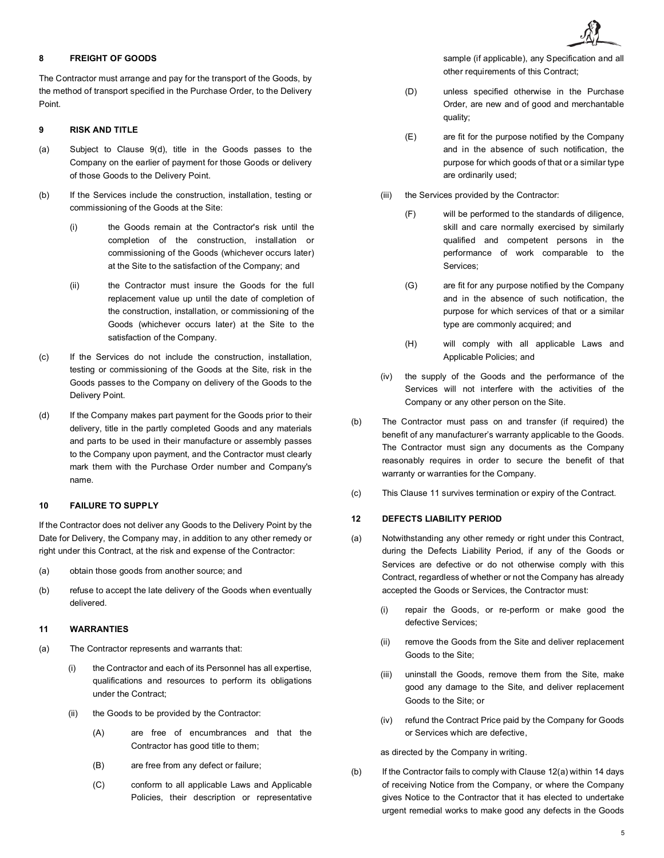# **8 FREIGHT OF GOODS**

The Contractor must arrange and pay for the transport of the Goods, by the method of transport specified in the Purchase Order, to the Delivery Point.

# **9 RISK AND TITLE**

- (a) Subject to Clause [9\(d\),](#page-4-0) title in the Goods passes to the Company on the earlier of payment for those Goods or delivery of those Goods to the Delivery Point.
- (b) If the Services include the construction, installation, testing or commissioning of the Goods at the Site:
	- (i) the Goods remain at the Contractor's risk until the completion of the construction, installation or commissioning of the Goods (whichever occurs later) at the Site to the satisfaction of the Company; and
	- (ii) the Contractor must insure the Goods for the full replacement value up until the date of completion of the construction, installation, or commissioning of the Goods (whichever occurs later) at the Site to the satisfaction of the Company.
- (c) If the Services do not include the construction, installation, testing or commissioning of the Goods at the Site, risk in the Goods passes to the Company on delivery of the Goods to the Delivery Point.
- <span id="page-4-0"></span>(d) If the Company makes part payment for the Goods prior to their delivery, title in the partly completed Goods and any materials and parts to be used in their manufacture or assembly passes to the Company upon payment, and the Contractor must clearly mark them with the Purchase Order number and Company's name.

# **10 FAILURE TO SUPPLY**

If the Contractor does not deliver any Goods to the Delivery Point by the Date for Delivery, the Company may, in addition to any other remedy or right under this Contract, at the risk and expense of the Contractor:

- (a) obtain those goods from another source; and
- (b) refuse to accept the late delivery of the Goods when eventually delivered.

### <span id="page-4-1"></span>**11 WARRANTIES**

- (a) The Contractor represents and warrants that:
	- (i) the Contractor and each of its Personnel has all expertise, qualifications and resources to perform its obligations under the Contract;
	- (ii) the Goods to be provided by the Contractor:
		- (A) are free of encumbrances and that the Contractor has good title to them;
		- (B) are free from any defect or failure;
		- (C) conform to all applicable Laws and Applicable Policies, their description or representative

sample (if applicable), any Specification and all other requirements of this Contract;

- (D) unless specified otherwise in the Purchase Order, are new and of good and merchantable quality;
- (E) are fit for the purpose notified by the Company and in the absence of such notification, the purpose for which goods of that or a similar type are ordinarily used;
- (iii) the Services provided by the Contractor:
	- (F) will be performed to the standards of diligence, skill and care normally exercised by similarly qualified and competent persons in the performance of work comparable to the Services;
	- (G) are fit for any purpose notified by the Company and in the absence of such notification, the purpose for which services of that or a similar type are commonly acquired; and
	- (H) will comply with all applicable Laws and Applicable Policies; and
- (iv) the supply of the Goods and the performance of the Services will not interfere with the activities of the Company or any other person on the Site.
- (b) The Contractor must pass on and transfer (if required) the benefit of any manufacturer's warranty applicable to the Goods. The Contractor must sign any documents as the Company reasonably requires in order to secure the benefit of that warranty or warranties for the Company.
- <span id="page-4-3"></span>(c) This Clause [11](#page-4-1) survives termination or expiry of the Contract.

## **12 DEFECTS LIABILITY PERIOD**

- <span id="page-4-2"></span>(a) Notwithstanding any other remedy or right under this Contract, during the Defects Liability Period, if any of the Goods or Services are defective or do not otherwise comply with this Contract, regardless of whether or not the Company has already accepted the Goods or Services, the Contractor must:
	- (i) repair the Goods, or re-perform or make good the defective Services;
	- (ii) remove the Goods from the Site and deliver replacement Goods to the Site;
	- (iii) uninstall the Goods, remove them from the Site, make good any damage to the Site, and deliver replacement Goods to the Site; or
	- (iv) refund the Contract Price paid by the Company for Goods or Services which are defective,

as directed by the Company in writing.

(b) If the Contractor fails to comply with Claus[e 12\(a\)](#page-4-2) within 14 days of receiving Notice from the Company, or where the Company gives Notice to the Contractor that it has elected to undertake urgent remedial works to make good any defects in the Goods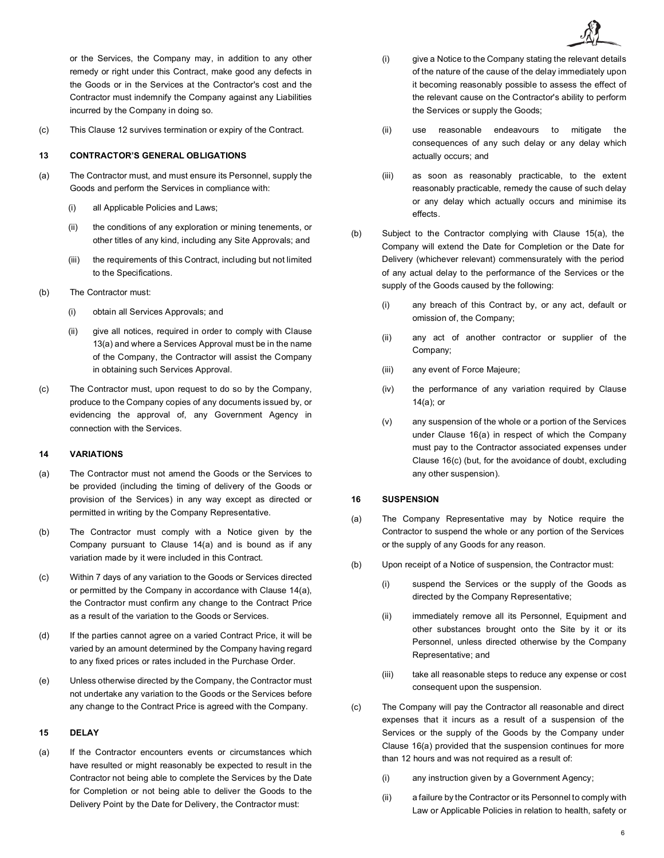or the Services, the Company may, in addition to any other remedy or right under this Contract, make good any defects in the Goods or in the Services at the Contractor's cost and the Contractor must indemnify the Company against any Liabilities incurred by the Company in doing so.

(c) This Clause [12](#page-4-3) survives termination or expiry of the Contract.

# **13 CONTRACTOR'S GENERAL OBLIGATIONS**

- <span id="page-5-0"></span>(a) The Contractor must, and must ensure its Personnel, supply the Goods and perform the Services in compliance with:
	- (i) all Applicable Policies and Laws;
	- (ii) the conditions of any exploration or mining tenements, or other titles of any kind, including any Site Approvals; and
	- (iii) the requirements of this Contract, including but not limited to the Specifications.
- (b) The Contractor must:
	- (i) obtain all Services Approvals; and
	- (ii) give all notices, required in order to comply with Clause [13\(a\)](#page-5-0) and where a Services Approval must be in the name of the Company, the Contractor will assist the Company in obtaining such Services Approval.
- (c) The Contractor must, upon request to do so by the Company, produce to the Company copies of any documents issued by, or evidencing the approval of, any Government Agency in connection with the Services.

# **14 VARIATIONS**

- <span id="page-5-1"></span>(a) The Contractor must not amend the Goods or the Services to be provided (including the timing of delivery of the Goods or provision of the Services) in any way except as directed or permitted in writing by the Company Representative.
- (b) The Contractor must comply with a Notice given by the Company pursuant to Clause [14\(a\)](#page-5-1) and is bound as if any variation made by it were included in this Contract.
- (c) Within 7 days of any variation to the Goods or Services directed or permitted by the Company in accordance with Clause [14\(a\),](#page-5-1) the Contractor must confirm any change to the Contract Price as a result of the variation to the Goods or Services.
- (d) If the parties cannot agree on a varied Contract Price, it will be varied by an amount determined by the Company having regard to any fixed prices or rates included in the Purchase Order.
- (e) Unless otherwise directed by the Company, the Contractor must not undertake any variation to the Goods or the Services before any change to the Contract Price is agreed with the Company.

## **15 DELAY**

<span id="page-5-2"></span>(a) If the Contractor encounters events or circumstances which have resulted or might reasonably be expected to result in the Contractor not being able to complete the Services by the Date for Completion or not being able to deliver the Goods to the Delivery Point by the Date for Delivery, the Contractor must:

- (i) give a Notice to the Company stating the relevant details of the nature of the cause of the delay immediately upon it becoming reasonably possible to assess the effect of the relevant cause on the Contractor's ability to perform the Services or supply the Goods;
- (ii) use reasonable endeavours to mitigate the consequences of any such delay or any delay which actually occurs; and
- (iii) as soon as reasonably practicable, to the extent reasonably practicable, remedy the cause of such delay or any delay which actually occurs and minimise its effects.
- (b) Subject to the Contractor complying with Clause [15\(a\),](#page-5-2) the Company will extend the Date for Completion or the Date for Delivery (whichever relevant) commensurately with the period of any actual delay to the performance of the Services or the supply of the Goods caused by the following:
	- (i) any breach of this Contract by, or any act, default or omission of, the Company;
	- (ii) any act of another contractor or supplier of the Company;
	- (iii) any event of Force Majeure;
	- (iv) the performance of any variation required by Clause [14\(a\);](#page-5-1) or
	- (v) any suspension of the whole or a portion of the Services under Clause [16\(a\)](#page-5-3) in respect of which the Company must pay to the Contractor associated expenses under Clause [16\(c\)](#page-5-4) (but, for the avoidance of doubt, excluding any other suspension).

# <span id="page-5-5"></span>**16 SUSPENSION**

- <span id="page-5-3"></span>(a) The Company Representative may by Notice require the Contractor to suspend the whole or any portion of the Services or the supply of any Goods for any reason.
- (b) Upon receipt of a Notice of suspension, the Contractor must:
	- (i) suspend the Services or the supply of the Goods as directed by the Company Representative;
	- (ii) immediately remove all its Personnel, Equipment and other substances brought onto the Site by it or its Personnel, unless directed otherwise by the Company Representative; and
	- (iii) take all reasonable steps to reduce any expense or cost consequent upon the suspension.
- <span id="page-5-4"></span>(c) The Company will pay the Contractor all reasonable and direct expenses that it incurs as a result of a suspension of the Services or the supply of the Goods by the Company under Clause [16\(a\)](#page-5-3) provided that the suspension continues for more than 12 hours and was not required as a result of:
	- (i) any instruction given by a Government Agency;
	- (ii) a failure by the Contractor or its Personnel to comply with Law or Applicable Policies in relation to health, safety or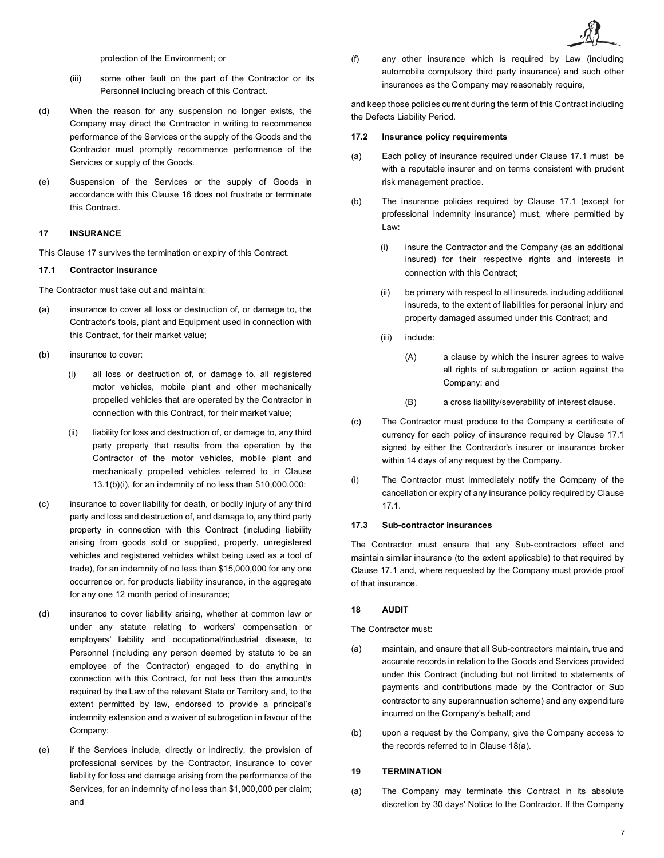protection of the Environment; or

- (iii) some other fault on the part of the Contractor or its Personnel including breach of this Contract.
- (d) When the reason for any suspension no longer exists, the Company may direct the Contractor in writing to recommence performance of the Services or the supply of the Goods and the Contractor must promptly recommence performance of the Services or supply of the Goods.
- (e) Suspension of the Services or the supply of Goods in accordance with this Clause [16](#page-5-5) does not frustrate or terminate this Contract.

# <span id="page-6-0"></span>**17 INSURANCE**

This Clause [17](#page-6-0) survives the termination or expiry of this Contract.

### <span id="page-6-3"></span>**17.1 Contractor Insurance**

The Contractor must take out and maintain:

- (a) insurance to cover all loss or destruction of, or damage to, the Contractor's tools, plant and Equipment used in connection with this Contract, for their market value;
- <span id="page-6-2"></span><span id="page-6-1"></span>(b) insurance to cover:
	- (i) all loss or destruction of, or damage to, all registered motor vehicles, mobile plant and other mechanically propelled vehicles that are operated by the Contractor in connection with this Contract, for their market value;
	- (ii) liability for loss and destruction of, or damage to, any third party property that results from the operation by the Contractor of the motor vehicles, mobile plant and mechanically propelled vehicles referred to in Clause [13.1\(b\)](#page-6-1)[\(i\),](#page-6-2) for an indemnity of no less than \$10,000,000;
- (c) insurance to cover liability for death, or bodily injury of any third party and loss and destruction of, and damage to, any third party property in connection with this Contract (including liability arising from goods sold or supplied, property, unregistered vehicles and registered vehicles whilst being used as a tool of trade), for an indemnity of no less than \$15,000,000 for any one occurrence or, for products liability insurance, in the aggregate for any one 12 month period of insurance;
- (d) insurance to cover liability arising, whether at common law or under any statute relating to workers' compensation or employers' liability and occupational/industrial disease, to Personnel (including any person deemed by statute to be an employee of the Contractor) engaged to do anything in connection with this Contract, for not less than the amount/s required by the Law of the relevant State or Territory and, to the extent permitted by law, endorsed to provide a principal's indemnity extension and a waiver of subrogation in favour of the Company;
- (e) if the Services include, directly or indirectly, the provision of professional services by the Contractor, insurance to cover liability for loss and damage arising from the performance of the Services, for an indemnity of no less than \$1,000,000 per claim; and

(f) any other insurance which is required by Law (including automobile compulsory third party insurance) and such other insurances as the Company may reasonably require,

and keep those policies current during the term of this Contract including the Defects Liability Period.

### **17.2 Insurance policy requirements**

- (a) Each policy of insurance required under Clause [17.1](#page-6-3) must be with a reputable insurer and on terms consistent with prudent risk management practice.
- (b) The insurance policies required by Clause [17.1](#page-6-3) (except for professional indemnity insurance) must, where permitted by Law:
	- (i) insure the Contractor and the Company (as an additional insured) for their respective rights and interests in connection with this Contract;
	- (ii) be primary with respect to all insureds, including additional insureds, to the extent of liabilities for personal injury and property damaged assumed under this Contract; and
	- (iii) include:
		- (A) a clause by which the insurer agrees to waive all rights of subrogation or action against the Company; and
		- (B) a cross liability/severability of interest clause.
- (c) The Contractor must produce to the Company a certificate of currency for each policy of insurance required by Clause [17.1](#page-6-3)  signed by either the Contractor's insurer or insurance broker within 14 days of any request by the Company.
- (i) The Contractor must immediately notify the Company of the cancellation or expiry of any insurance policy required by Clause [17.1.](#page-6-3)

## **17.3 Sub-contractor insurances**

The Contractor must ensure that any Sub-contractors effect and maintain similar insurance (to the extent applicable) to that required by Clause [17.1](#page-6-3) and, where requested by the Company must provide proof of that insurance.

## <span id="page-6-6"></span>**18 AUDIT**

The Contractor must:

- <span id="page-6-4"></span>(a) maintain, and ensure that all Sub-contractors maintain, true and accurate records in relation to the Goods and Services provided under this Contract (including but not limited to statements of payments and contributions made by the Contractor or Sub contractor to any superannuation scheme) and any expenditure incurred on the Company's behalf; and
- (b) upon a request by the Company, give the Company access to the records referred to in Claus[e 18\(a\).](#page-6-4)

### <span id="page-6-7"></span>**19 TERMINATION**

<span id="page-6-5"></span>(a) The Company may terminate this Contract in its absolute discretion by 30 days' Notice to the Contractor. If the Company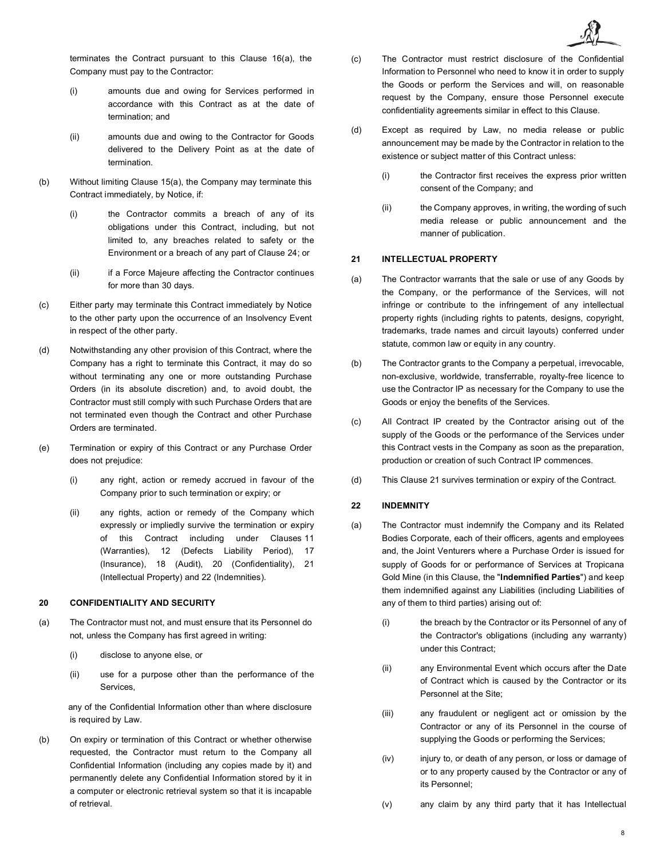terminates the Contract pursuant to this Clause [16\(a\),](#page-6-5) the Company must pay to the Contractor:

- (i) amounts due and owing for Services performed in accordance with this Contract as at the date of termination; and
- (ii) amounts due and owing to the Contractor for Goods delivered to the Delivery Point as at the date of termination.
- (b) Without limiting Clause [15\(a\),](#page-6-5) the Company may terminate this Contract immediately, by Notice, if:
	- (i) the Contractor commits a breach of any of its obligations under this Contract, including, but not limited to, any breaches related to safety or the Environment or a breach of any part of Clause [24;](#page-10-0) or
	- (ii) if a Force Majeure affecting the Contractor continues for more than 30 days.
- (c) Either party may terminate this Contract immediately by Notice to the other party upon the occurrence of an Insolvency Event in respect of the other party.
- (d) Notwithstanding any other provision of this Contract, where the Company has a right to terminate this Contract, it may do so without terminating any one or more outstanding Purchase Orders (in its absolute discretion) and, to avoid doubt, the Contractor must still comply with such Purchase Orders that are not terminated even though the Contract and other Purchase Orders are terminated.
- (e) Termination or expiry of this Contract or any Purchase Order does not prejudice:
	- (i) any right, action or remedy accrued in favour of the Company prior to such termination or expiry; or
	- (ii) any rights, action or remedy of the Company which expressly or impliedly survive the termination or expiry of this Contract including under Clauses [11](#page-4-1) (Warranties), [12](#page-4-3) (Defects Liability Period), [17](#page-6-0) (Insurance), [18](#page-6-6) (Audit), [20](#page-7-0) (Confidentiality), [21](#page-7-1) (Intellectual Property) and [22](#page-7-2) (Indemnities).

# <span id="page-7-0"></span>**20 CONFIDENTIALITY AND SECURITY**

- (a) The Contractor must not, and must ensure that its Personnel do not, unless the Company has first agreed in writing:
	- (i) disclose to anyone else, or
	- (ii) use for a purpose other than the performance of the Services,

any of the Confidential Information other than where disclosure is required by Law.

(b) On expiry or termination of this Contract or whether otherwise requested, the Contractor must return to the Company all Confidential Information (including any copies made by it) and permanently delete any Confidential Information stored by it in a computer or electronic retrieval system so that it is incapable of retrieval.

- (c) The Contractor must restrict disclosure of the Confidential Information to Personnel who need to know it in order to supply the Goods or perform the Services and will, on reasonable request by the Company, ensure those Personnel execute confidentiality agreements similar in effect to this Clause.
- (d) Except as required by Law, no media release or public announcement may be made by the Contractor in relation to the existence or subject matter of this Contract unless:
	- (i) the Contractor first receives the express prior written consent of the Company; and
	- (ii) the Company approves, in writing, the wording of such media release or public announcement and the manner of publication.

# <span id="page-7-1"></span>**21 INTELLECTUAL PROPERTY**

- (a) The Contractor warrants that the sale or use of any Goods by the Company, or the performance of the Services, will not infringe or contribute to the infringement of any intellectual property rights (including rights to patents, designs, copyright, trademarks, trade names and circuit layouts) conferred under statute, common law or equity in any country.
- (b) The Contractor grants to the Company a perpetual, irrevocable, non-exclusive, worldwide, transferrable, royalty-free licence to use the Contractor IP as necessary for the Company to use the Goods or enjoy the benefits of the Services.
- (c) All Contract IP created by the Contractor arising out of the supply of the Goods or the performance of the Services under this Contract vests in the Company as soon as the preparation, production or creation of such Contract IP commences.
- <span id="page-7-2"></span>(d) This Clause [21](#page-7-1) survives termination or expiry of the Contract.

### **22 INDEMNITY**

- <span id="page-7-3"></span>(a) The Contractor must indemnify the Company and its Related Bodies Corporate, each of their officers, agents and employees and, the Joint Venturers where a Purchase Order is issued for supply of Goods for or performance of Services at Tropicana Gold Mine (in this Clause, the "**Indemnified Parties**") and keep them indemnified against any Liabilities (including Liabilities of any of them to third parties) arising out of:
	- (i) the breach by the Contractor or its Personnel of any of the Contractor's obligations (including any warranty) under this Contract;
	- (ii) any Environmental Event which occurs after the Date of Contract which is caused by the Contractor or its Personnel at the Site;
	- (iii) any fraudulent or negligent act or omission by the Contractor or any of its Personnel in the course of supplying the Goods or performing the Services;
	- (iv) injury to, or death of any person, or loss or damage of or to any property caused by the Contractor or any of its Personnel;
	- (v) any claim by any third party that it has Intellectual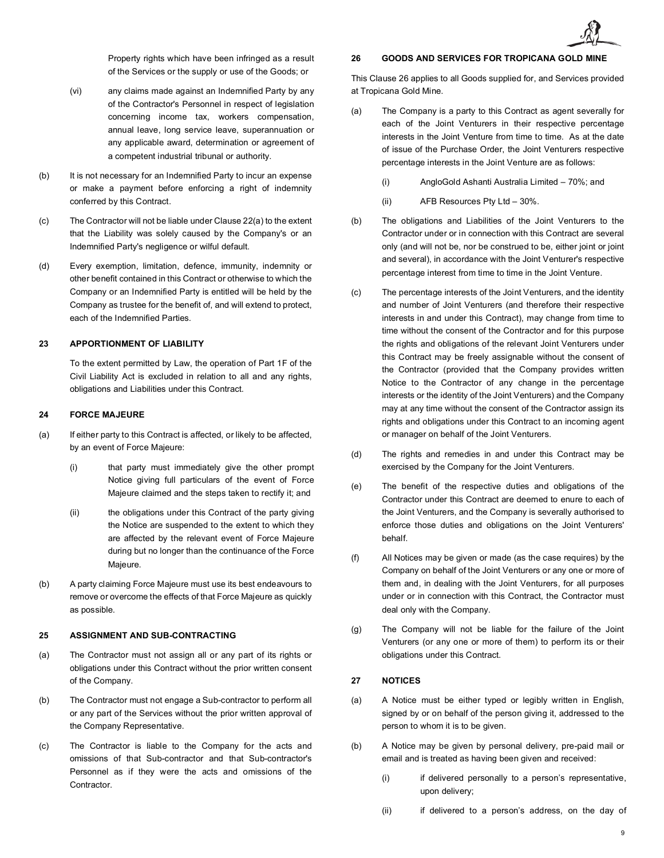

Property rights which have been infringed as a result of the Services or the supply or use of the Goods; or

- (vi) any claims made against an Indemnified Party by any of the Contractor's Personnel in respect of legislation concerning income tax, workers compensation, annual leave, long service leave, superannuation or any applicable award, determination or agreement of a competent industrial tribunal or authority.
- (b) It is not necessary for an Indemnified Party to incur an expense or make a payment before enforcing a right of indemnity conferred by this Contract.
- (c) The Contractor will not be liable under Claus[e 22\(a\)](#page-7-3) to the extent that the Liability was solely caused by the Company's or an Indemnified Party's negligence or wilful default.
- (d) Every exemption, limitation, defence, immunity, indemnity or other benefit contained in this Contract or otherwise to which the Company or an Indemnified Party is entitled will be held by the Company as trustee for the benefit of, and will extend to protect, each of the Indemnified Parties.

## **23 APPORTIONMENT OF LIABILITY**

To the extent permitted by Law, the operation of Part 1F of the Civil Liability Act is excluded in relation to all and any rights, obligations and Liabilities under this Contract.

# **24 FORCE MAJEURE**

- (a) If either party to this Contract is affected, or likely to be affected, by an event of Force Majeure:
	- (i) that party must immediately give the other prompt Notice giving full particulars of the event of Force Majeure claimed and the steps taken to rectify it; and
	- (ii) the obligations under this Contract of the party giving the Notice are suspended to the extent to which they are affected by the relevant event of Force Majeure during but no longer than the continuance of the Force Majeure.
- (b) A party claiming Force Majeure must use its best endeavours to remove or overcome the effects of that Force Majeure as quickly as possible.

## <span id="page-8-0"></span>**25 ASSIGNMENT AND SUB-CONTRACTING**

- (a) The Contractor must not assign all or any part of its rights or obligations under this Contract without the prior written consent of the Company.
- (b) The Contractor must not engage a Sub-contractor to perform all or any part of the Services without the prior written approval of the Company Representative.
- (c) The Contractor is liable to the Company for the acts and omissions of that Sub-contractor and that Sub-contractor's Personnel as if they were the acts and omissions of the **Contractor**

## <span id="page-8-1"></span>**26 GOODS AND SERVICES FOR TROPICANA GOLD MINE**

This Clause [26](#page-8-1) applies to all Goods supplied for, and Services provided at Tropicana Gold Mine.

- (a) The Company is a party to this Contract as agent severally for each of the Joint Venturers in their respective percentage interests in the Joint Venture from time to time. As at the date of issue of the Purchase Order, the Joint Venturers respective percentage interests in the Joint Venture are as follows:
	- (i) AngloGold Ashanti Australia Limited 70%; and
	- (ii) AFB Resources Pty Ltd 30%.
- (b) The obligations and Liabilities of the Joint Venturers to the Contractor under or in connection with this Contract are several only (and will not be, nor be construed to be, either joint or joint and several), in accordance with the Joint Venturer's respective percentage interest from time to time in the Joint Venture.
- (c) The percentage interests of the Joint Venturers, and the identity and number of Joint Venturers (and therefore their respective interests in and under this Contract), may change from time to time without the consent of the Contractor and for this purpose the rights and obligations of the relevant Joint Venturers under this Contract may be freely assignable without the consent of the Contractor (provided that the Company provides written Notice to the Contractor of any change in the percentage interests or the identity of the Joint Venturers) and the Company may at any time without the consent of the Contractor assign its rights and obligations under this Contract to an incoming agent or manager on behalf of the Joint Venturers.
- (d) The rights and remedies in and under this Contract may be exercised by the Company for the Joint Venturers.
- (e) The benefit of the respective duties and obligations of the Contractor under this Contract are deemed to enure to each of the Joint Venturers, and the Company is severally authorised to enforce those duties and obligations on the Joint Venturers' behalf.
- (f) All Notices may be given or made (as the case requires) by the Company on behalf of the Joint Venturers or any one or more of them and, in dealing with the Joint Venturers, for all purposes under or in connection with this Contract, the Contractor must deal only with the Company.
- (g) The Company will not be liable for the failure of the Joint Venturers (or any one or more of them) to perform its or their obligations under this Contract.

## **27 NOTICES**

- (a) A Notice must be either typed or legibly written in English, signed by or on behalf of the person giving it, addressed to the person to whom it is to be given.
- (b) A Notice may be given by personal delivery, pre-paid mail or email and is treated as having been given and received:
	- (i) if delivered personally to a person's representative, upon delivery;
	- (ii) if delivered to a person's address, on the day of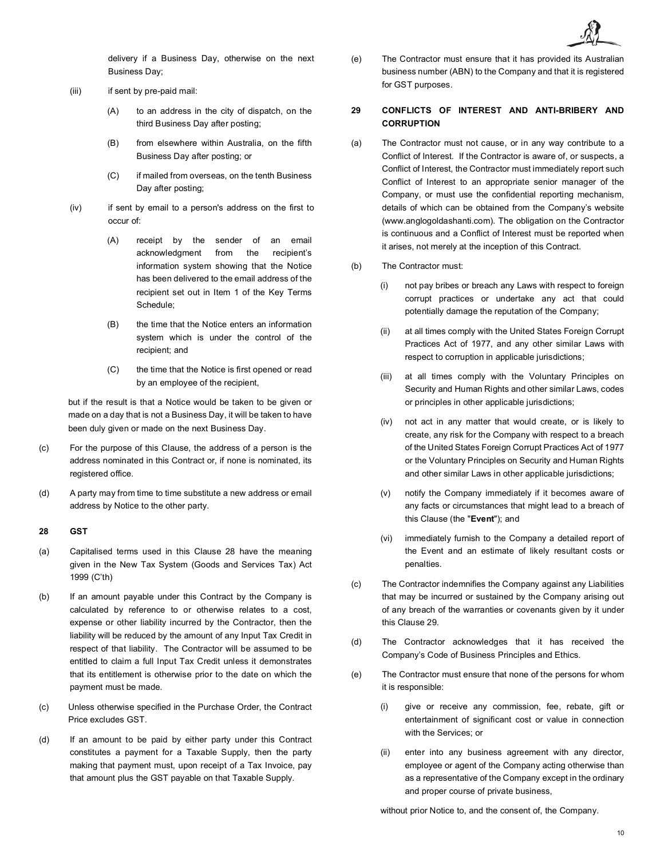delivery if a Business Day, otherwise on the next Business Day;

- (iii) if sent by pre-paid mail:
	- (A) to an address in the city of dispatch, on the third Business Day after posting;
	- (B) from elsewhere within Australia, on the fifth Business Day after posting; or
	- (C) if mailed from overseas, on the tenth Business Day after posting;
- (iv) if sent by email to a person's address on the first to occur of:
	- (A) receipt by the sender of an email acknowledgment from the recipient's information system showing that the Notice has been delivered to the email address of the recipient set out in Item 1 of the Key Terms Schedule;
	- (B) the time that the Notice enters an information system which is under the control of the recipient; and
	- (C) the time that the Notice is first opened or read by an employee of the recipient,

but if the result is that a Notice would be taken to be given or made on a day that is not a Business Day, it will be taken to have been duly given or made on the next Business Day.

- (c) For the purpose of this Clause, the address of a person is the address nominated in this Contract or, if none is nominated, its registered office.
- (d) A party may from time to time substitute a new address or email address by Notice to the other party.

## <span id="page-9-0"></span>**28 GST**

- (a) Capitalised terms used in this Clause [28](#page-9-0) have the meaning given in the New Tax System (Goods and Services Tax) Act 1999 (C'th)
- (b) If an amount payable under this Contract by the Company is calculated by reference to or otherwise relates to a cost, expense or other liability incurred by the Contractor, then the liability will be reduced by the amount of any Input Tax Credit in respect of that liability. The Contractor will be assumed to be entitled to claim a full Input Tax Credit unless it demonstrates that its entitlement is otherwise prior to the date on which the payment must be made.
- (c) Unless otherwise specified in the Purchase Order, the Contract Price excludes GST.
- (d) If an amount to be paid by either party under this Contract constitutes a payment for a Taxable Supply, then the party making that payment must, upon receipt of a Tax Invoice, pay that amount plus the GST payable on that Taxable Supply.

(e) The Contractor must ensure that it has provided its Australian business number (ABN) to the Company and that it is registered for GST purposes.

# <span id="page-9-1"></span>**29 CONFLICTS OF INTEREST AND ANTI-BRIBERY AND CORRUPTION**

- (a) The Contractor must not cause, or in any way contribute to a Conflict of Interest. If the Contractor is aware of, or suspects, a Conflict of Interest, the Contractor must immediately report such Conflict of Interest to an appropriate senior manager of the Company, or must use the confidential reporting mechanism, details of which can be obtained from the Company's website (www.anglogoldashanti.com). The obligation on the Contractor is continuous and a Conflict of Interest must be reported when it arises, not merely at the inception of this Contract.
- (b) The Contractor must:
	- (i) not pay bribes or breach any Laws with respect to foreign corrupt practices or undertake any act that could potentially damage the reputation of the Company;
	- (ii) at all times comply with the United States Foreign Corrupt Practices Act of 1977, and any other similar Laws with respect to corruption in applicable jurisdictions;
	- (iii) at all times comply with the Voluntary Principles on Security and Human Rights and other similar Laws, codes or principles in other applicable jurisdictions;
	- (iv) not act in any matter that would create, or is likely to create, any risk for the Company with respect to a breach of the United States Foreign Corrupt Practices Act of 1977 or the Voluntary Principles on Security and Human Rights and other similar Laws in other applicable jurisdictions;
	- (v) notify the Company immediately if it becomes aware of any facts or circumstances that might lead to a breach of this Clause (the "**Event**"); and
	- (vi) immediately furnish to the Company a detailed report of the Event and an estimate of likely resultant costs or penalties.
- (c) The Contractor indemnifies the Company against any Liabilities that may be incurred or sustained by the Company arising out of any breach of the warranties or covenants given by it under this Clause [29.](#page-9-1)
- (d) The Contractor acknowledges that it has received the Company's Code of Business Principles and Ethics.
- (e) The Contractor must ensure that none of the persons for whom it is responsible:
	- (i) give or receive any commission, fee, rebate, gift or entertainment of significant cost or value in connection with the Services; or
	- (ii) enter into any business agreement with any director, employee or agent of the Company acting otherwise than as a representative of the Company except in the ordinary and proper course of private business,

without prior Notice to, and the consent of, the Company.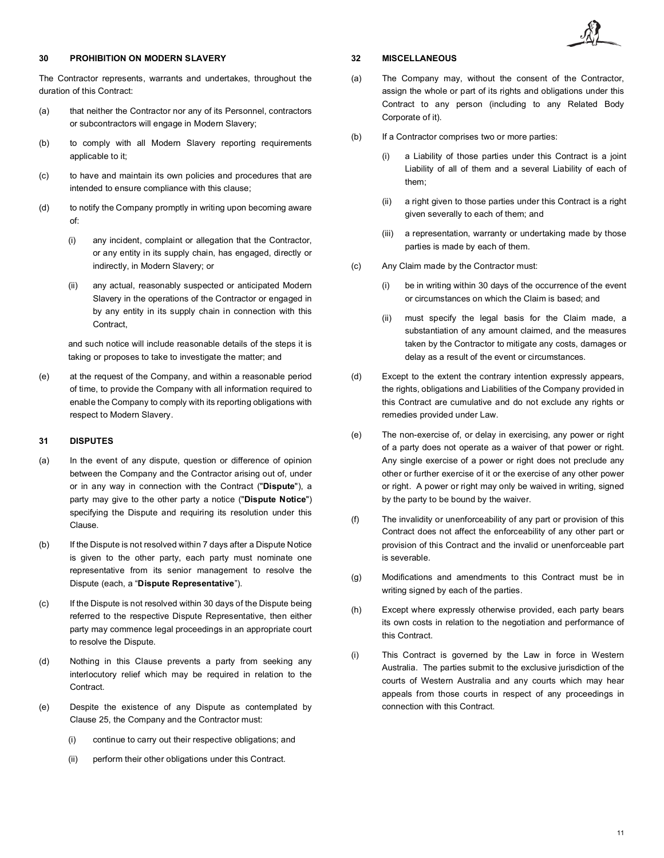# <span id="page-10-0"></span>**30 PROHIBITION ON MODERN SLAVERY**

The Contractor represents, warrants and undertakes, throughout the duration of this Contract:

- (a) that neither the Contractor nor any of its Personnel, contractors or subcontractors will engage in Modern Slavery;
- (b) to comply with all Modern Slavery reporting requirements applicable to it;
- (c) to have and maintain its own policies and procedures that are intended to ensure compliance with this clause;
- (d) to notify the Company promptly in writing upon becoming aware of:
	- (i) any incident, complaint or allegation that the Contractor, or any entity in its supply chain, has engaged, directly or indirectly, in Modern Slavery; or
	- (ii) any actual, reasonably suspected or anticipated Modern Slavery in the operations of the Contractor or engaged in by any entity in its supply chain in connection with this Contract,

and such notice will include reasonable details of the steps it is taking or proposes to take to investigate the matter; and

(e) at the request of the Company, and within a reasonable period of time, to provide the Company with all information required to enable the Company to comply with its reporting obligations with respect to Modern Slavery.

# <span id="page-10-1"></span>**31 DISPUTES**

- (a) In the event of any dispute, question or difference of opinion between the Company and the Contractor arising out of, under or in any way in connection with the Contract ("**Dispute**"), a party may give to the other party a notice ("**Dispute Notice**") specifying the Dispute and requiring its resolution under this Clause.
- (b) If the Dispute is not resolved within 7 days after a Dispute Notice is given to the other party, each party must nominate one representative from its senior management to resolve the Dispute (each, a "**Dispute Representative**").
- (c) If the Dispute is not resolved within 30 days of the Dispute being referred to the respective Dispute Representative, then either party may commence legal proceedings in an appropriate court to resolve the Dispute.
- (d) Nothing in this Clause prevents a party from seeking any interlocutory relief which may be required in relation to the Contract.
- (e) Despite the existence of any Dispute as contemplated by Clause [25,](#page-10-1) the Company and the Contractor must:
	- (i) continue to carry out their respective obligations; and
	- (ii) perform their other obligations under this Contract.

# **32 MISCELLANEOUS**

- (a) The Company may, without the consent of the Contractor, assign the whole or part of its rights and obligations under this Contract to any person (including to any Related Body Corporate of it).
- (b) If a Contractor comprises two or more parties:
	- (i) a Liability of those parties under this Contract is a joint Liability of all of them and a several Liability of each of them;
	- (ii) a right given to those parties under this Contract is a right given severally to each of them; and
	- (iii) a representation, warranty or undertaking made by those parties is made by each of them.
- (c) Any Claim made by the Contractor must:
	- (i) be in writing within 30 days of the occurrence of the event or circumstances on which the Claim is based; and
	- (ii) must specify the legal basis for the Claim made, a substantiation of any amount claimed, and the measures taken by the Contractor to mitigate any costs, damages or delay as a result of the event or circumstances.
- (d) Except to the extent the contrary intention expressly appears, the rights, obligations and Liabilities of the Company provided in this Contract are cumulative and do not exclude any rights or remedies provided under Law.
- (e) The non-exercise of, or delay in exercising, any power or right of a party does not operate as a waiver of that power or right. Any single exercise of a power or right does not preclude any other or further exercise of it or the exercise of any other power or right. A power or right may only be waived in writing, signed by the party to be bound by the waiver.
- (f) The invalidity or unenforceability of any part or provision of this Contract does not affect the enforceability of any other part or provision of this Contract and the invalid or unenforceable part is severable.
- (g) Modifications and amendments to this Contract must be in writing signed by each of the parties.
- (h) Except where expressly otherwise provided, each party bears its own costs in relation to the negotiation and performance of this Contract.
- (i) This Contract is governed by the Law in force in Western Australia. The parties submit to the exclusive jurisdiction of the courts of Western Australia and any courts which may hear appeals from those courts in respect of any proceedings in connection with this Contract.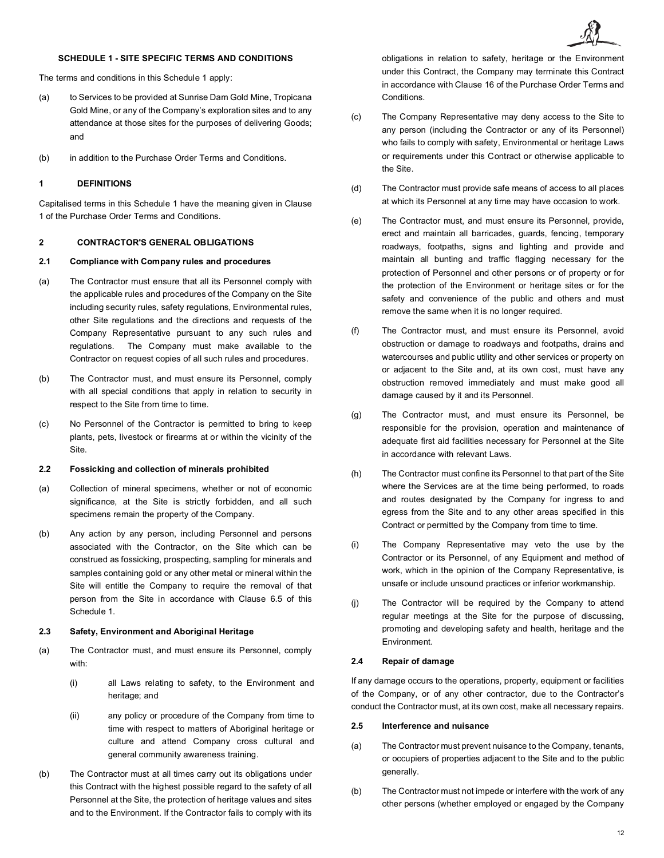# **SCHEDULE 1 - SITE SPECIFIC TERMS AND CONDITIONS**

The terms and conditions in this Schedule 1 apply:

- (a) to Services to be provided at Sunrise Dam Gold Mine, Tropicana Gold Mine, or any of the Company's exploration sites and to any attendance at those sites for the purposes of delivering Goods; and
- (b) in addition to the Purchase Order Terms and Conditions.

## **1 DEFINITIONS**

Capitalised terms in this Schedule 1 have the meaning given in Clause [1](#page-0-0) of the Purchase Order Terms and Conditions.

# **2 CONTRACTOR'S GENERAL OBLIGATIONS**

# **2.1 Compliance with Company rules and procedures**

- (a) The Contractor must ensure that all its Personnel comply with the applicable rules and procedures of the Company on the Site including security rules, safety regulations, Environmental rules, other Site regulations and the directions and requests of the Company Representative pursuant to any such rules and regulations. The Company must make available to the Contractor on request copies of all such rules and procedures.
- (b) The Contractor must, and must ensure its Personnel, comply with all special conditions that apply in relation to security in respect to the Site from time to time.
- (c) No Personnel of the Contractor is permitted to bring to keep plants, pets, livestock or firearms at or within the vicinity of the Site.

# **2.2 Fossicking and collection of minerals prohibited**

- (a) Collection of mineral specimens, whether or not of economic significance, at the Site is strictly forbidden, and all such specimens remain the property of the Company.
- (b) Any action by any person, including Personnel and persons associated with the Contractor, on the Site which can be construed as fossicking, prospecting, sampling for minerals and samples containing gold or any other metal or mineral within the Site will entitle the Company to require the removal of that person from the Site in accordance with Clause [6.5](#page-14-0) of this Schedule 1.

#### **2.3 Safety, Environment and Aboriginal Heritage**

- (a) The Contractor must, and must ensure its Personnel, comply with:
	- (i) all Laws relating to safety, to the Environment and heritage; and
	- (ii) any policy or procedure of the Company from time to time with respect to matters of Aboriginal heritage or culture and attend Company cross cultural and general community awareness training.
- (b) The Contractor must at all times carry out its obligations under this Contract with the highest possible regard to the safety of all Personnel at the Site, the protection of heritage values and sites and to the Environment. If the Contractor fails to comply with its

obligations in relation to safety, heritage or the Environment under this Contract, the Company may terminate this Contract in accordance with Clause [16](#page-6-7) of the Purchase Order Terms and Conditions.

- (c) The Company Representative may deny access to the Site to any person (including the Contractor or any of its Personnel) who fails to comply with safety, Environmental or heritage Laws or requirements under this Contract or otherwise applicable to the Site.
- (d) The Contractor must provide safe means of access to all places at which its Personnel at any time may have occasion to work.
- (e) The Contractor must, and must ensure its Personnel, provide, erect and maintain all barricades, guards, fencing, temporary roadways, footpaths, signs and lighting and provide and maintain all bunting and traffic flagging necessary for the protection of Personnel and other persons or of property or for the protection of the Environment or heritage sites or for the safety and convenience of the public and others and must remove the same when it is no longer required.
- (f) The Contractor must, and must ensure its Personnel, avoid obstruction or damage to roadways and footpaths, drains and watercourses and public utility and other services or property on or adjacent to the Site and, at its own cost, must have any obstruction removed immediately and must make good all damage caused by it and its Personnel.
- (g) The Contractor must, and must ensure its Personnel, be responsible for the provision, operation and maintenance of adequate first aid facilities necessary for Personnel at the Site in accordance with relevant Laws.
- (h) The Contractor must confine its Personnel to that part of the Site where the Services are at the time being performed, to roads and routes designated by the Company for ingress to and egress from the Site and to any other areas specified in this Contract or permitted by the Company from time to time.
- (i) The Company Representative may veto the use by the Contractor or its Personnel, of any Equipment and method of work, which in the opinion of the Company Representative, is unsafe or include unsound practices or inferior workmanship.
- (j) The Contractor will be required by the Company to attend regular meetings at the Site for the purpose of discussing, promoting and developing safety and health, heritage and the Environment.

# **2.4 Repair of damage**

If any damage occurs to the operations, property, equipment or facilities of the Company, or of any other contractor, due to the Contractor's conduct the Contractor must, at its own cost, make all necessary repairs.

## **2.5 Interference and nuisance**

- (a) The Contractor must prevent nuisance to the Company, tenants, or occupiers of properties adjacent to the Site and to the public generally.
- (b) The Contractor must not impede or interfere with the work of any other persons (whether employed or engaged by the Company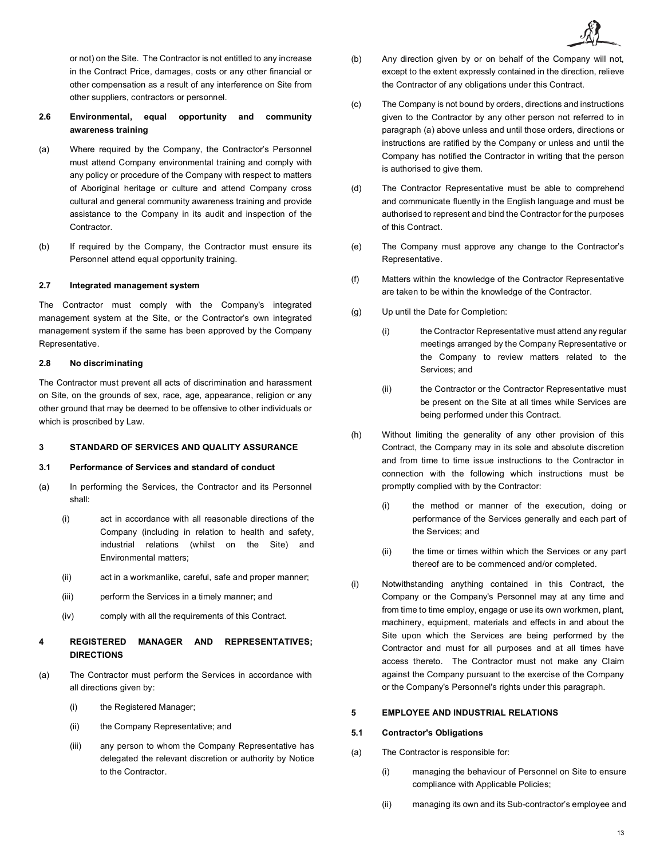or not) on the Site. The Contractor is not entitled to any increase in the Contract Price, damages, costs or any other financial or other compensation as a result of any interference on Site from other suppliers, contractors or personnel.

# **2.6 Environmental, equal opportunity and community awareness training**

- (a) Where required by the Company, the Contractor's Personnel must attend Company environmental training and comply with any policy or procedure of the Company with respect to matters of Aboriginal heritage or culture and attend Company cross cultural and general community awareness training and provide assistance to the Company in its audit and inspection of the Contractor.
- (b) If required by the Company, the Contractor must ensure its Personnel attend equal opportunity training.

### **2.7 Integrated management system**

The Contractor must comply with the Company's integrated management system at the Site, or the Contractor's own integrated management system if the same has been approved by the Company Representative.

# **2.8 No discriminating**

The Contractor must prevent all acts of discrimination and harassment on Site, on the grounds of sex, race, age, appearance, religion or any other ground that may be deemed to be offensive to other individuals or which is proscribed by Law.

# **3 STANDARD OF SERVICES AND QUALITY ASSURANCE**

# **3.1 Performance of Services and standard of conduct**

- (a) In performing the Services, the Contractor and its Personnel shall:
	- (i) act in accordance with all reasonable directions of the Company (including in relation to health and safety, industrial relations (whilst on the Site) and Environmental matters;
	- (ii) act in a workmanlike, careful, safe and proper manner;
	- (iii) perform the Services in a timely manner; and
	- (iv) comply with all the requirements of this Contract.

# **4 REGISTERED MANAGER AND REPRESENTATIVES; DIRECTIONS**

- <span id="page-12-0"></span>(a) The Contractor must perform the Services in accordance with all directions given by:
	- (i) the Registered Manager;
	- (ii) the Company Representative; and
	- (iii) any person to whom the Company Representative has delegated the relevant discretion or authority by Notice to the Contractor.
- (b) Any direction given by or on behalf of the Company will not, except to the extent expressly contained in the direction, relieve the Contractor of any obligations under this Contract.
- (c) The Company is not bound by orders, directions and instructions given to the Contractor by any other person not referred to in paragraph [\(a\)](#page-12-0) above unless and until those orders, directions or instructions are ratified by the Company or unless and until the Company has notified the Contractor in writing that the person is authorised to give them.
- (d) The Contractor Representative must be able to comprehend and communicate fluently in the English language and must be authorised to represent and bind the Contractor for the purposes of this Contract.
- (e) The Company must approve any change to the Contractor's Representative.
- (f) Matters within the knowledge of the Contractor Representative are taken to be within the knowledge of the Contractor.
- (g) Up until the Date for Completion:
	- (i) the Contractor Representative must attend any regular meetings arranged by the Company Representative or the Company to review matters related to the Services; and
	- (ii) the Contractor or the Contractor Representative must be present on the Site at all times while Services are being performed under this Contract.
- (h) Without limiting the generality of any other provision of this Contract, the Company may in its sole and absolute discretion and from time to time issue instructions to the Contractor in connection with the following which instructions must be promptly complied with by the Contractor:
	- (i) the method or manner of the execution, doing or performance of the Services generally and each part of the Services; and
	- (ii) the time or times within which the Services or any part thereof are to be commenced and/or completed.
- (i) Notwithstanding anything contained in this Contract, the Company or the Company's Personnel may at any time and from time to time employ, engage or use its own workmen, plant, machinery, equipment, materials and effects in and about the Site upon which the Services are being performed by the Contractor and must for all purposes and at all times have access thereto. The Contractor must not make any Claim against the Company pursuant to the exercise of the Company or the Company's Personnel's rights under this paragraph.

# **5 EMPLOYEE AND INDUSTRIAL RELATIONS**

# **5.1 Contractor's Obligations**

- (a) The Contractor is responsible for:
	- (i) managing the behaviour of Personnel on Site to ensure compliance with Applicable Policies;
	- (ii) managing its own and its Sub-contractor's employee and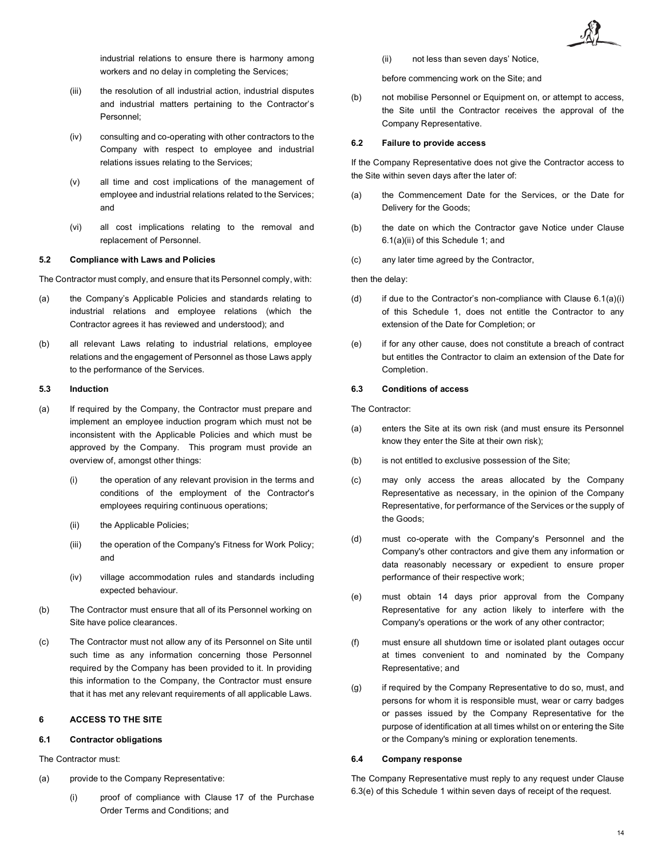

industrial relations to ensure there is harmony among workers and no delay in completing the Services;

- (iii) the resolution of all industrial action, industrial disputes and industrial matters pertaining to the Contractor's Personnel;
- (iv) consulting and co-operating with other contractors to the Company with respect to employee and industrial relations issues relating to the Services;
- (v) all time and cost implications of the management of employee and industrial relations related to the Services; and
- (vi) all cost implications relating to the removal and replacement of Personnel.

#### **5.2 Compliance with Laws and Policies**

The Contractor must comply, and ensure that its Personnel comply, with:

- (a) the Company's Applicable Policies and standards relating to industrial relations and employee relations (which the Contractor agrees it has reviewed and understood); and
- (b) all relevant Laws relating to industrial relations, employee relations and the engagement of Personnel as those Laws apply to the performance of the Services.

#### **5.3 Induction**

- (a) If required by the Company, the Contractor must prepare and implement an employee induction program which must not be inconsistent with the Applicable Policies and which must be approved by the Company. This program must provide an overview of, amongst other things:
	- (i) the operation of any relevant provision in the terms and conditions of the employment of the Contractor's employees requiring continuous operations;
	- (ii) the Applicable Policies;
	- (iii) the operation of the Company's Fitness for Work Policy; and
	- (iv) village accommodation rules and standards including expected behaviour.
- (b) The Contractor must ensure that all of its Personnel working on Site have police clearances.
- (c) The Contractor must not allow any of its Personnel on Site until such time as any information concerning those Personnel required by the Company has been provided to it. In providing this information to the Company, the Contractor must ensure that it has met any relevant requirements of all applicable Laws.

## **6 ACCESS TO THE SITE**

### **6.1 Contractor obligations**

The Contractor must:

- <span id="page-13-1"></span>(a) provide to the Company Representative:
	- (i) proof of compliance with Clause [17](#page-6-0) of the Purchase Order Terms and Conditions; and

<span id="page-13-0"></span>(ii) not less than seven days' Notice,

before commencing work on the Site; and

(b) not mobilise Personnel or Equipment on, or attempt to access, the Site until the Contractor receives the approval of the Company Representative.

# **6.2 Failure to provide access**

If the Company Representative does not give the Contractor access to the Site within seven days after the later of:

- (a) the Commencement Date for the Services, or the Date for Delivery for the Goods;
- (b) the date on which the Contractor gave Notice under Clause [6.1\(a\)\(ii\)](#page-13-0) of this Schedule 1; and
- (c) any later time agreed by the Contractor,

#### then the delay:

- (d) if due to the Contractor's non-compliance with Clause  $6.1(a)(i)$ of this Schedule 1, does not entitle the Contractor to any extension of the Date for Completion; or
- (e) if for any other cause, does not constitute a breach of contract but entitles the Contractor to claim an extension of the Date for Completion.

#### **6.3 Conditions of access**

The Contractor:

- (a) enters the Site at its own risk (and must ensure its Personnel know they enter the Site at their own risk);
- (b) is not entitled to exclusive possession of the Site;
- (c) may only access the areas allocated by the Company Representative as necessary, in the opinion of the Company Representative, for performance of the Services or the supply of the Goods;
- (d) must co-operate with the Company's Personnel and the Company's other contractors and give them any information or data reasonably necessary or expedient to ensure proper performance of their respective work;
- <span id="page-13-2"></span>(e) must obtain 14 days prior approval from the Company Representative for any action likely to interfere with the Company's operations or the work of any other contractor;
- (f) must ensure all shutdown time or isolated plant outages occur at times convenient to and nominated by the Company Representative; and
- (g) if required by the Company Representative to do so, must, and persons for whom it is responsible must, wear or carry badges or passes issued by the Company Representative for the purpose of identification at all times whilst on or entering the Site or the Company's mining or exploration tenements.

## **6.4 Company response**

The Company Representative must reply to any request under Clause [6.3\(e\)](#page-13-2) of this Schedule 1 within seven days of receipt of the request.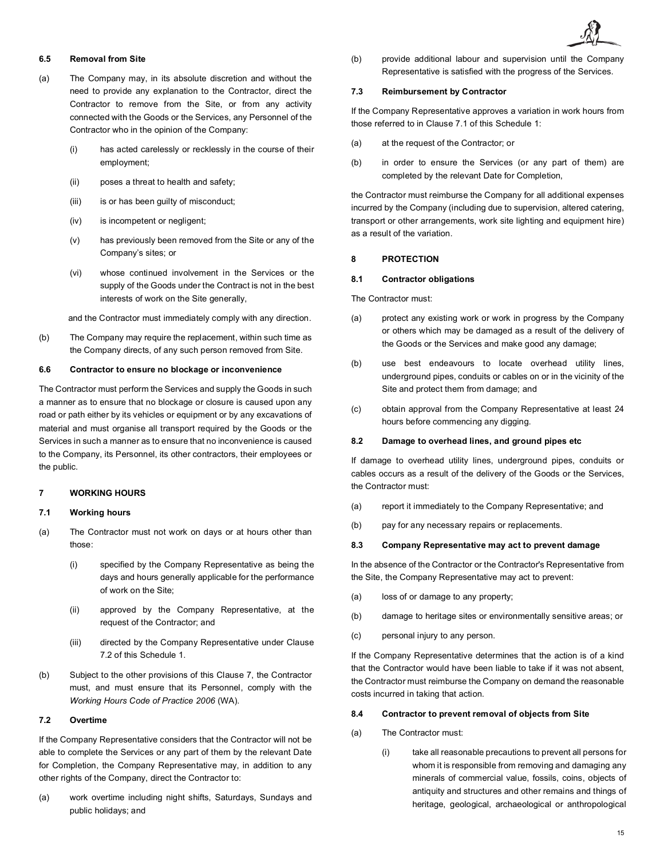# <span id="page-14-0"></span>**6.5 Removal from Site**

- (a) The Company may, in its absolute discretion and without the need to provide any explanation to the Contractor, direct the Contractor to remove from the Site, or from any activity connected with the Goods or the Services, any Personnel of the Contractor who in the opinion of the Company:
	- (i) has acted carelessly or recklessly in the course of their employment;
	- (ii) poses a threat to health and safety;
	- (iii) is or has been guilty of misconduct;
	- (iv) is incompetent or negligent;
	- (v) has previously been removed from the Site or any of the Company's sites; or
	- (vi) whose continued involvement in the Services or the supply of the Goods under the Contract is not in the best interests of work on the Site generally,

and the Contractor must immediately comply with any direction.

(b) The Company may require the replacement, within such time as the Company directs, of any such person removed from Site.

#### **6.6 Contractor to ensure no blockage or inconvenience**

The Contractor must perform the Services and supply the Goods in such a manner as to ensure that no blockage or closure is caused upon any road or path either by its vehicles or equipment or by any excavations of material and must organise all transport required by the Goods or the Services in such a manner as to ensure that no inconvenience is caused to the Company, its Personnel, its other contractors, their employees or the public.

### <span id="page-14-2"></span>**7 WORKING HOURS**

# <span id="page-14-3"></span>**7.1 Working hours**

- (a) The Contractor must not work on days or at hours other than those:
	- (i) specified by the Company Representative as being the days and hours generally applicable for the performance of work on the Site;
	- (ii) approved by the Company Representative, at the request of the Contractor; and
	- (iii) directed by the Company Representative under Clause [7.2](#page-14-1) of this Schedule 1.
- (b) Subject to the other provisions of this Clause [7,](#page-14-2) the Contractor must, and must ensure that its Personnel, comply with the *Working Hours Code of Practice 2006* (WA).

# <span id="page-14-1"></span>**7.2 Overtime**

If the Company Representative considers that the Contractor will not be able to complete the Services or any part of them by the relevant Date for Completion, the Company Representative may, in addition to any other rights of the Company, direct the Contractor to:

(a) work overtime including night shifts, Saturdays, Sundays and public holidays; and

(b) provide additional labour and supervision until the Company Representative is satisfied with the progress of the Services.

#### **7.3 Reimbursement by Contractor**

If the Company Representative approves a variation in work hours from those referred to in Clause [7.1](#page-14-3) of this Schedule 1:

- (a) at the request of the Contractor; or
- (b) in order to ensure the Services (or any part of them) are completed by the relevant Date for Completion,

the Contractor must reimburse the Company for all additional expenses incurred by the Company (including due to supervision, altered catering, transport or other arrangements, work site lighting and equipment hire) as a result of the variation.

## **8 PROTECTION**

### **8.1 Contractor obligations**

The Contractor must:

- (a) protect any existing work or work in progress by the Company or others which may be damaged as a result of the delivery of the Goods or the Services and make good any damage;
- (b) use best endeavours to locate overhead utility lines, underground pipes, conduits or cables on or in the vicinity of the Site and protect them from damage; and
- (c) obtain approval from the Company Representative at least 24 hours before commencing any digging.

# **8.2 Damage to overhead lines, and ground pipes etc**

If damage to overhead utility lines, underground pipes, conduits or cables occurs as a result of the delivery of the Goods or the Services, the Contractor must:

- (a) report it immediately to the Company Representative; and
- (b) pay for any necessary repairs or replacements.

#### **8.3 Company Representative may act to prevent damage**

In the absence of the Contractor or the Contractor's Representative from the Site, the Company Representative may act to prevent:

- (a) loss of or damage to any property;
- (b) damage to heritage sites or environmentally sensitive areas; or
- (c) personal injury to any person.

If the Company Representative determines that the action is of a kind that the Contractor would have been liable to take if it was not absent, the Contractor must reimburse the Company on demand the reasonable costs incurred in taking that action.

## <span id="page-14-6"></span>**8.4 Contractor to prevent removal of objects from Site**

- <span id="page-14-5"></span><span id="page-14-4"></span>(a) The Contractor must:
	- (i) take all reasonable precautions to prevent all persons for whom it is responsible from removing and damaging any minerals of commercial value, fossils, coins, objects of antiquity and structures and other remains and things of heritage, geological, archaeological or anthropological